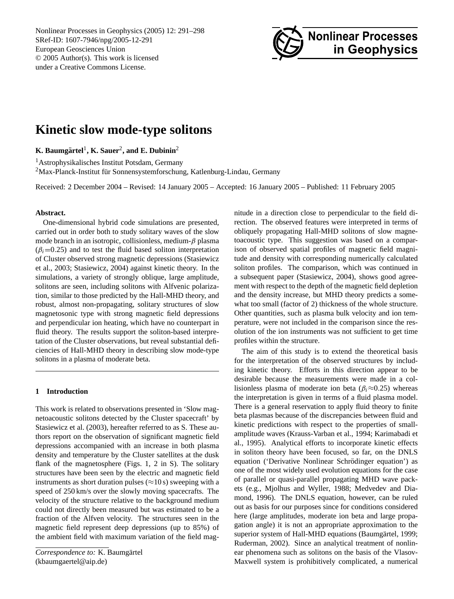Nonlinear Processes in Geophysics (2005) 12: 291[–298](#page-0-0) SRef-ID: 1607-7946/npg/2005-12-291 European Geosciences Union © 2005 Author(s). This work is licensed under a Creative Commons License.



# **Kinetic slow mode-type solitons**

**K. Baumgartel ¨** 1 **, K. Sauer**<sup>2</sup> **, and E. Dubinin**<sup>2</sup>

<sup>1</sup>Astrophysikalisches Institut Potsdam, Germany  $2$ Max-Planck-Institut für Sonnensystemforschung, Katlenburg-Lindau, Germany

Received: 2 December 2004 – Revised: 14 January 2005 – Accepted: 16 January 2005 – Published: 11 February 2005

#### **Abstract.**

One-dimensional hybrid code simulations are presented, carried out in order both to study solitary waves of the slow mode branch in an isotropic, collisionless, medium- $\beta$  plasma  $(\beta_i=0.25)$  and to test the fluid based soliton interpretation of Cluster observed strong magnetic depressions [\(Stasiewicz](#page-7-0) [et al.,](#page-7-0) [2003;](#page-7-0) [Stasiewicz,](#page-7-1) [2004\)](#page-7-1) against kinetic theory. In the simulations, a variety of strongly oblique, large amplitude, solitons are seen, including solitons with Alfvenic polarization, similar to those predicted by the Hall-MHD theory, and robust, almost non-propagating, solitary structures of slow magnetosonic type with strong magnetic field depressions and perpendicular ion heating, which have no counterpart in fluid theory. The results support the soliton-based interpretation of the Cluster observations, but reveal substantial deficiencies of Hall-MHD theory in describing slow mode-type solitons in a plasma of moderate beta.

## **1 Introduction**

This work is related to observations presented in 'Slow magnetoacoustic solitons detected by the Cluster spacecraft' by [Stasiewicz et al.](#page-7-0) [\(2003\)](#page-7-0), hereafter referred to as S. These authors report on the observation of significant magnetic field depressions accompanied with an increase in both plasma density and temperature by the Cluster satellites at the dusk flank of the magnetosphere (Figs. 1, 2 in S). The solitary structures have been seen by the electric and magnetic field instruments as short duration pulses ( $\approx$ 10 s) sweeping with a speed of 250 km/s over the slowly moving spacecrafts. The velocity of the structure relative to the background medium could not directly been measured but was estimated to be a fraction of the Alfven velocity. The structures seen in the magnetic field represent deep depressions (up to 85%) of the ambient field with maximum variation of the field mag-

<span id="page-0-0"></span>*Correspondence to:* K. Baumgärtel (kbaumgaertel@aip.de)

nitude in a direction close to perpendicular to the field direction. The observed features were interpreted in terms of obliquely propagating Hall-MHD solitons of slow magnetoacoustic type. This suggestion was based on a comparison of observed spatial profiles of magnetic field magnitude and density with corresponding numerically calculated soliton profiles. The comparison, which was continued in a subsequent paper [\(Stasiewicz,](#page-7-1) [2004\)](#page-7-1), shows good agreement with respect to the depth of the magnetic field depletion and the density increase, but MHD theory predicts a somewhat too small (factor of 2) thickness of the whole structure. Other quantities, such as plasma bulk velocity and ion temperature, were not included in the comparison since the resolution of the ion instruments was not sufficient to get time profiles within the structure.

The aim of this study is to extend the theoretical basis for the interpretation of the observed structures by including kinetic theory. Efforts in this direction appear to be desirable because the measurements were made in a collisionless plasma of moderate ion beta ( $\beta_i \approx 0.25$ ) whereas the interpretation is given in terms of a fluid plasma model. There is a general reservation to apply fluid theory to finite beta plasmas because of the discrepancies between fluid and kinetic predictions with respect to the properties of smallamplitude waves [\(Krauss-Varban et al.,](#page-7-2) [1994;](#page-7-2) [Karimabadi et](#page-7-3) [al.,](#page-7-3) [1995\)](#page-7-3). Analytical efforts to incorporate kinetic effects in soliton theory have been focused, so far, on the DNLS equation ('Derivative Nonlinear Schrödinger equation') as one of the most widely used evolution equations for the case of parallel or quasi-parallel propagating MHD wave packets (e.g., [Mjolhus and Wyller,](#page-7-4) [1988;](#page-7-4) [Medvedev and Dia](#page-7-5)[mond,](#page-7-5) [1996\)](#page-7-5). The DNLS equation, however, can be ruled out as basis for our purposes since for conditions considered here (large amplitudes, moderate ion beta and large propagation angle) it is not an appropriate approximation to the superior system of Hall-MHD equations (Baumgärtel, [1999;](#page-7-6) [Ruderman,](#page-7-7) [2002\)](#page-7-7). Since an analytical treatment of nonlinear phenomena such as solitons on the basis of the Vlasov-Maxwell system is prohibitively complicated, a numerical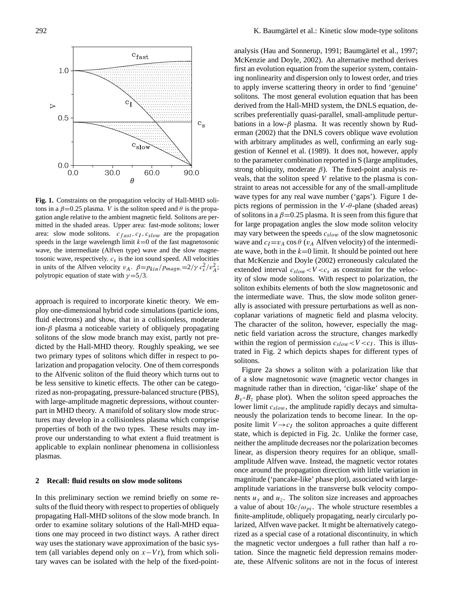

**Fig. 1.** Constraints on the propagation velocity of Hall-MHD solitons in a  $\beta$ =0.25 plasma. V is the soliton speed and  $\theta$  is the propagation angle relative to the ambient magnetic field. Solitons are permitted in the shaded areas. Upper area: fast-mode solitons; lower area: slow mode solitons.  $c_{fast}$ ,  $c_I$ ,  $c_{slow}$  are the propagation speeds in the large wavelength limit  $k=0$  of the fast magnetosonic wave, the intermediate (Alfven type) wave and the slow magnetosonic wave, respectively.  $c_s$  is the ion sound speed. All velocities in units of the Alfven velocity  $v_A$ .  $\beta = p_{kin}/p_{magn} = 2/\gamma c_s^2/v_A^2$ ; polytropic equation of state with  $\gamma = 5/3$ .

approach is required to incorporate kinetic theory. We employ one-dimensional hybrid code simulations (particle ions, fluid electrons) and show, that in a collisionless, moderate ion-β plasma a noticeable variety of obliquely propagating solitons of the slow mode branch may exist, partly not predicted by the Hall-MHD theory. Roughly speaking, we see two primary types of solitons which differ in respect to polarization and propagation velocity. One of them corresponds to the Alfvenic soliton of the fluid theory which turns out to be less sensitive to kinetic effects. The other can be categorized as non-propagating, pressure-balanced structure (PBS), with large-amplitude magnetic depressions, without counterpart in MHD theory. A manifold of solitary slow mode structures may develop in a collisionless plasma which comprise properties of both of the two types. These results may improve our understanding to what extent a fluid treatment is applicable to explain nonlinear phenomena in collisionless plasmas.

## **2 Recall: fluid results on slow mode solitons**

In this preliminary section we remind briefly on some results of the fluid theory with respect to properties of obliquely propagating Hall-MHD solitons of the slow mode branch. In order to examine solitary solutions of the Hall-MHD equations one may proceed in two distinct ways. A rather direct way uses the stationary wave approximation of the basic system (all variables depend only on  $x-Vt$ ), from which solitary waves can be isolated with the help of the fixed-point-

analysis [\(Hau and Sonnerup,](#page-7-8) [1991;](#page-7-8) Baumgärtel et al., [1997;](#page-7-9) first an evolution equation from the superior system, containing nonlinearity and dispersion only to lowest order, and tries to apply inverse scattering theory in order to find 'genuine' solitons. The most general evolution equation that has been derived from the Hall-MHD system, the DNLS equation, describes preferentially quasi-parallel, small-amplitude perturbations in a low- $\beta$  plasma. It was recently shown by [Rud](#page-7-7)[erman](#page-7-7)  $(2002)$  that the DNLS covers oblique wave evolution gestion of [Kennel et al.](#page-7-11) [\(1989\)](#page-7-11). It does not, however, apply to the parameter combination reported in S (large amplitudes, strong obliquity, moderate  $\beta$ ). The fixed-point analysis reveals, that the soliton speed  $V$  relative to the plasma is constraint to areas not accessible for any of the small-amplitude [McKenzie and Doyle,](#page-7-10) [2002\)](#page-7-10). An alternative method derives with arbitrary amplitudes as well, confirming an early sugwave types for any real wave number ('gaps'). Figure 1 depicts regions of permission in the  $V$ - $\theta$ -plane (shaded areas) of solitons in a  $\beta$ =0.25 plasma. It is seen from this figure that for large propagation angles the slow mode soliton velocity may vary between the speeds  $c_{slow}$  of the slow magnetosonic wave and  $c_I=v_A \cos \theta$  ( $v_A$  Alfven velocity) of the intermediate wave, both in the  $k=0$  limit. It should be pointed out here that [McKenzie and Doyle](#page-7-10) [\(2002\)](#page-7-10) erroneously calculated the extended interval  $c_{slow} < V < c_s$  as constraint for the velocity of slow mode solitons. With respect to polarization, the soliton exhibits elements of both the slow magnetosonic and the intermediate wave. Thus, the slow mode soliton generally is associated with pressure perturbations as well as noncoplanar variations of magnetic field and plasma velocity. The character of the soliton, however, especially the magnetic field variation across the structure, changes markedly within the region of permission  $c_{slow} < V < c_I$ . This is illustrated in Fig. 2 which depicts shapes for different types of solitons.

Figure 2a shows a soliton with a polarization like that of a slow magnetosonic wave (magnetic vector changes in magnitude rather than in direction, 'cigar-like' shape of the  $B_y - B_z$  phase plot). When the soliton speed approaches the lower limit  $c_{slow}$ , the amplitude rapidly decays and simultaneously the polarization tends to become linear. In the opposite limit  $V \rightarrow c_I$  the soliton approaches a quite different state, which is depicted in Fig. 2c. Unlike the former case, neither the amplitude decreases nor the polarization becomes linear, as dispersion theory requires for an oblique, smallamplitude Alfven wave. Instead, the magnetic vector rotates once around the propagation direction with little variation in magnitude ('pancake-like' phase plot), associated with largeamplitude variations in the transverse bulk velocity components  $u<sub>y</sub>$  and  $u<sub>z</sub>$ . The soliton size increases and approaches a value of about  $10c/\omega_{pi}$ . The whole structure resembles a finite-amplitude, obliquely propagating, nearly circularly polarized, Alfven wave packet. It might be alternatively categorized as a special case of a rotational discontinuity, in which the magnetic vector undergoes a full rather than half a rotation. Since the magnetic field depression remains moderate, these Alfvenic solitons are not in the focus of interest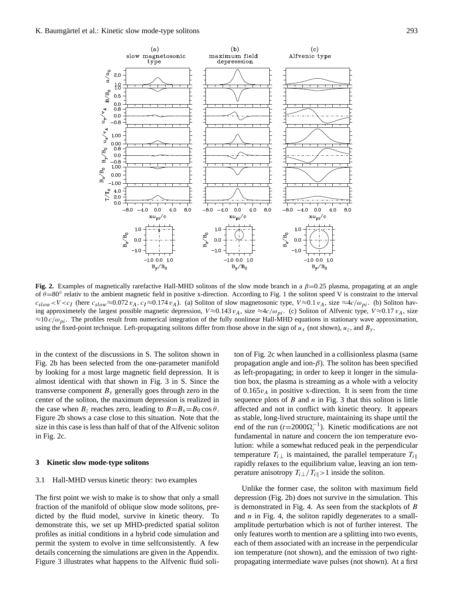

Fig. 2. Examples of magnetically rarefactive Hall-MHD solitons of the slow mode branch in a  $\beta$ =0.25 plasma, propagating at an angle of  $\theta = 80^\circ$  relativ to the ambient magnetic field in positive x-direction. According to Fig. 1 the soliton speed V is constraint to the interval  $c_{slow} < V < c_I$  (here  $c_{slow} \approx 0.072 v_A$ ,  $c_I \approx 0.174 v_A$ ). (a) Soliton of slow magnetosonic type,  $V \approx 0.1 v_A$ , size  $\approx 4c/\omega_{pi}$ . (b) Soliton having approximetely the largest possible magnetic depression,  $V \approx 0.143 v_A$ , size  $\approx 4c/\omega_{pi}$ . (c) Soliton of Alfvenic type,  $V \approx 0.17 v_A$ , size  $\approx$ 10 $c/\omega_{pi}$ . The profiles result from numerical integration of the fully nonlinear Hall-MHD equations in stationary wave approximation, using the fixed-point technique. Left-propagating solitons differ from those above in the sign of  $u_x$  (not shown),  $u_z$ , and  $B_y$ .

in the context of the discussions in S. The soliton shown in ton of F Fig. 2b has been selected from the one-parameter manifold by looking for a most large magnetic field depression. It is almost identical with that shown in Fig. 3 in S. Since the transverse component  $B<sub>v</sub>$  generally goes through zero in the center of the soliton, the maximum depression is realized in the case when  $B_z$  reaches zero, leading to  $B=B_x=B_0 \cos \theta$ . Figure 2b shows a case close to this situation. Note that the size in this case is less than half of that of the Alfvenic soliton in Fig. 2c.

#### **3 Kinetic slow mode-type solitons**

#### 3.1 Hall-MHD versus kinetic theory: two examples

The first point we wish to make is to show that only a small fraction of the manifold of oblique slow mode solitons, predicted by the fluid model, survive in kinetic theory. To demonstrate this, we set up MHD-predicted spatial soliton profiles as initial conditions in a hybrid code simulation and permit the system to evolve in time selfconsistently. A few details concerning the simulations are given in the Appendix. Figure 3 illustrates what happens to the Alfvenic fluid soliton of Fig. 2c when launched in a collisionless plasma (same propagation angle and ion- $\beta$ ). The soliton has been specified as left-propagating; in order to keep it longer in the simulation box, the plasma is streaming as a whole with a velocity of  $0.165v_A$  in positive x-direction. It is seen from the time sequence plots of  $B$  and  $n$  in Fig. 3 that this soliton is little affected and not in conflict with kinetic theory. It appears as stable, long-lived structure, maintaining its shape until the end of the run ( $t=2000\Omega_i^{-1}$ ). Kinetic modifications are not fundamental in nature and concern the ion temperature evolution: while a somewhat reduced peak in the perpendicular temperature  $T_{i\perp}$  is maintained, the parallel temperature  $T_{i\parallel}$ rapidly relaxes to the equilibrium value, leaving an ion temperature anisotropy  $T_i \perp / T_i \parallel > 1$  inside the soliton.

Unlike the former case, the soliton with maximum field depression (Fig. 2b) does not survive in the simulation. This is demonstrated in Fig. 4. As seen from the stackplots of B and  $n$  in Fig. 4, the soliton rapidly degenerates to a smallamplitude perturbation which is not of further interest. The only features worth to mention are a splitting into two events, each of them associated with an increase in the perpendicular ion temperature (not shown), and the emission of two rightpropagating intermediate wave pulses (not shown). At a first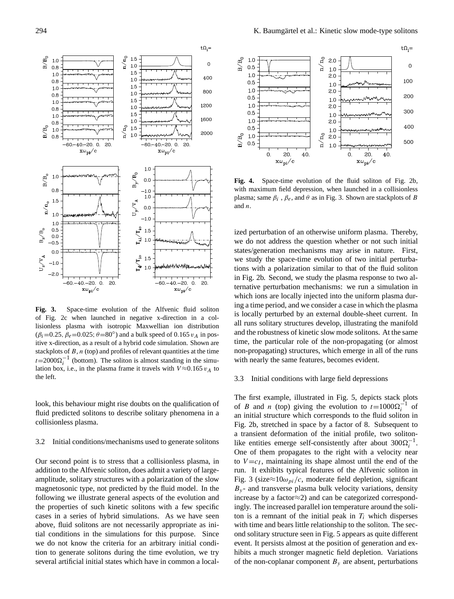

**Fig. 3.** Space-time evolution of the Alfvenic fluid soliton of Fig. 2c when launched in negative x-direction in a collisionless plasma with isotropic Maxwellian ion distribution  $(\beta_i = 0.25, \beta_e = 0.025; \theta = 80^\circ)$  and a bulk speed of 0.165  $v_A$  in positive x-direction, as a result of a hybrid code simulation. Shown are stackplots of  $B$ ,  $n$  (top) and profiles of relevant quantities at the time  $t=2000\Omega_i^{-1}$  (bottom). The soliton is almost standing in the simulation box, i.e., in the plasma frame it travels with  $V \approx 0.165 v_A$  to the left.

look, this behaviour might rise doubts on the qualification of fluid predicted solitons to describe solitary phenomena in a collisionless plasma.

## 3.2 Initial conditions/mechanisms used to generate solitons

. addition to the Alfvenic soliton, does admit a variety of largecases in a series of hybrid simulations. As we have seen Our second point is to stress that a collisionless plasma, in amplitude, solitary structures with a polarization of the slow magnetosonic type, not predicted by the fluid model. In the following we illustrate general aspects of the evolution and the properties of such kinetic solitons with a few specific above, fluid solitons are not necessarily appropriate as initial conditions in the simulations for this purpose. Since we do not know the criteria for an arbitrary initial condition to generate solitons during the time evolution, we try several artificial initial states which have in common a local-



**Fig. 4.** Space-time evolution of the fluid soliton of Fig. 2b, with maximum field depression, when launched in a collisionless and  $n$ . plasma; same  $\beta_i$ ,  $\beta_e$ , and  $\theta$  as in Fig. 3. Shown are stackplots of B and n

ized perturbation of an otherwise uniform plasma. Thereby, we do not address the question whether or not such initial states/generation mechanisms may arise in nature. First, we study the space-time evolution of two initial perturbations with a polarization similar to that of the fluid soliton frame is the travels with the perturbation mechanisms: we run a simulation in in Fig. 2b. Second, we study the plasma response to two alwhich ions are locally injected into the uniform plasma during a time period, and we consider a case in which the plasma is locally perturbed by an external double-sheet current. In all runs solitary structures develop, illustrating the manifold and the robustness of kinetic slow mode solitons. At the same time, the particular role of the non-propagating (or almost non-propagating) structures, which emerge in all of the runs with nearly the same features, becomes evident.

#### 3.3 Initial conditions with large field depressions

The first example, illustrated in Fig. 5, depicts stack plots an initial structure which corresponds to the fluid soliton in Fig. 2b, stretched in space by a factor of 8. Subsequent to a transient deformation of the initial profile, two solitonlike entities emerge self-consistently after about  $300\Omega_i^{-1}$ . of B and n (top) giving the evolution to  $t=1000\Omega_i^{-1}$  of One of them propagates to the right with a velocity near to  $V = c_I$ , maintaining its shape almost until the end of the run. It exhibits typical features of the Alfvenic soliton in Fig. 3 (size $\approx 10\omega_{pi}/c$ , moderate field depletion, significant  $B_y$ - and transverse plasma bulk velocity variations, density increase by a factor≈2) and can be categorized correspondingly. The increased parallel ion temperature around the soliton is a remnant of the initial peak in  $T_i$  which disperses with time and bears little relationship to the soliton. The second solitary structure seen in Fig. 5 appears as quite different event. It persists almost at the position of generation and exhibits a much stronger magnetic field depletion. Variations of the non-coplanar component  $B<sub>y</sub>$  are absent, perturbations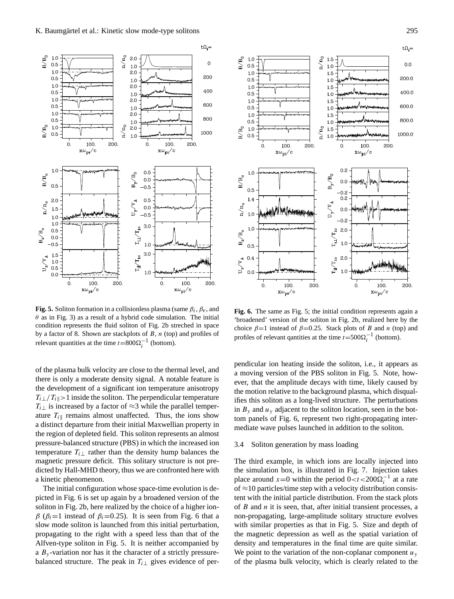

 $\theta$  as in Fig. 3) as a result of a hybrid code simulation. The initial **Fig. 5.** Soliton formation in a collisionless plasma (same  $\beta_i$ ,  $\beta_e$ , and condition represents the fluid soliton of Fig. 2b streched in space by a factor of 8. Shown are stackplots of  $B$ ,  $n$  (top) and profiles of relevant quantities at the time  $t=800\Omega_i^{-1}$  (bottom).

of the plasma bulk velocity are close to the thermal level, and there is only a moderate density signal. A notable feature is the development of a significant ion temperature anisotropy  $T_i \perp / T_i \geq 1$  inside the soliton. The perpendicular temperature  $T_{i\perp}$  is increased by a factor of ≈3 while the parallel temperature  $T_i$  remains almost unaffected. Thus, the ions show a distinct departure from their initial Maxwellian property in the region of depleted field. This soliton represents an almost pressure-balanced structure (PBS) in which the increased ion temperature  $T<sub>i</sub>$  rather than the density hump balances the magnetic pressure deficit. This solitary structure is not predicted by Hall-MHD theory, thus we are confronted here with a kinetic phenomenon.

 $p_1 - p_1$  instead of  $p_1 = 0.25$ . It is seen from Fig. 6 that a slow mode soliton is launched from this initial perturbation, The initial configuration whose space-time evolution is depicted in Fig. 6 is set up again by a broadened version of the soliton in Fig. 2b, here realized by the choice of a higher ion $β (β<sub>i</sub>=1$  instead of  $β<sub>i</sub>=0.25$ ). It is seen from Fig. 6 that a propagating to the right with a speed less than that of the Alfven-type soliton in Fig. 5. It is neither accompanied by a  $B_y$ -variation nor has it the character of a strictly pressurebalanced structure. The peak in  $T_i$  gives evidence of per-



**Fig. 6.** The same as Fig. 5; the initial condition represents again a 'broadened' version of the soliton in Fig. 2b, realized here by the choice  $\beta = 1$  instead of  $\beta = 0.25$ . Stack plots of B and n (top) and profiles of relevant qantities at the time  $t = 500\Omega_i^{-1}$  (bottom).

pendicular ion heating inside the soliton, i.e., it appears as a moving version of the PBS soliton in Fig. 5. Note, however, that the amplitude decays with time, likely caused by the motion relative to the background plasma, which disqualifies this soliton as a long-lived structure. The perturbations in  $B_y$  and  $u_y$  adjacent to the soliton location, seen in the bottom panels of Fig. 6, represent two right-propagating intermediate wave pulses launched in addition to the soliton.

#### 3.4 Soliton generation by mass loading

with similar properties as that in Fig. 5. Size and depth of The third example, in which ions are locally injected into the simulation box, is illustrated in Fig. 7. Injection takes place around x=0 within the period  $0 < t < 200\Omega_i^{-1}$  at a rate of  $\approx$ 10 particles/time step with a velocity distribution consistent with the initial particle distribution. From the stack plots of  $B$  and  $n$  it is seen, that, after initial transient processes, a non-propagating, large-amplitude solitary structure evolves the magnetic depression as well as the spatial variation of density and temperatures in the final time are quite similar. We point to the variation of the non-coplanar component  $u_y$ of the plasma bulk velocity, which is clearly related to the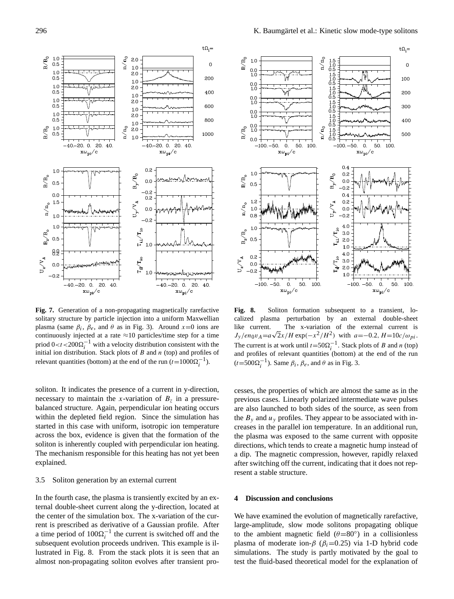

**Fig. 7.** Generation of a non-propagating magnetically rarefactive solitary structure by particle injection into a uniform Maxwellian plasma (same  $\beta_i$ ,  $\beta_e$ , and  $\theta$  as in Fig. 3). Around  $x=0$  ions are continuously injected at a rate  $\approx$  10 particles/time step for a time priod  $0 < t < 200 \Omega_i^{-1}$  with a velocity distribution consistent with the initial ion distribution. Stack plots of  $B$  and  $n$  (top) and profiles of relevant quantities (bottom) at the end of the run  $(t=1000\Omega_i^{-1})$ .

soliton. It indicates the presence of a current in y-direction, necessary to maintain the x-variation of  $B<sub>z</sub>$  in a pressurebalanced structure. Again, perpendicular ion heating occurs within the depleted field region. Since the simulation has started in this case with uniform, isotropic ion temperature across the box, evidence is given that the formation of the soliton is inherently coupled with perpendicular ion heating. The mechanism responsible for this heating has not yet been explained.

#### 3.5 Soliton generation by an external current

rent is prescribed as derivative of a Gaussian profile. After In the fourth case, the plasma is transiently excited by an external double-sheet current along the y-direction, located at the center of the simulation box. The x-variation of the cura time period of  $100\Omega_i^{-1}$  the current is switched off and the subsequent evolution proceeds undriven. This example is illustrated in Fig. 8. From the stack plots it is seen that an almost non-propagating soliton evolves after transient pro-



**Fig. 8.** Soliton formation subsequent to a transient, localized plasma perturbation by an external double-sheet like current. The x-variation of the external current is like current. The x-variation of the external current is  $J_y/en_0v_A=a\sqrt{2}x/H$  exp( $-x^2/H^2$ ) with  $a=-0.2$ ,  $H=10c/\omega_{pi}$ . The current is at work until  $t=50\Omega_i^{-1}$ . Stack plots of B and n (top) and profiles of relevant quantities (bottom) at the end of the run  $(t=500\Omega_i^{-1})$ . Same  $\beta_i$ ,  $\beta_e$ , and  $\theta$  as in Fig. 3.

cesses, the properties of which are almost the same as in the previous cases. Linearly polarized intermediate wave pulses are also launched to both sides of the source, as seen from the  $B_y$  and  $u_y$  profiles. They appear to be associated with increases in the parallel ion temperature. In an additional run, the plasma was exposed to the same current with opposite directions, which tends to create a magnetic hump instead of a dip. The magnetic compression, however, rapidly relaxed after switching off the current, indicating that it does not represent a stable structure.

## **4 Discussion and conclusions**

large-amplitude, slow mode solitons propagating oblique We have examined the evolution of magnetically rarefactive, to the ambient magnetic field  $(\theta=80^\circ)$  in a collisionless plasma of moderate ion- $\beta$  ( $\beta$ <sub>i</sub>=0.25) via 1-D hybrid code simulations. The study is partly motivated by the goal to test the fluid-based theoretical model for the explanation of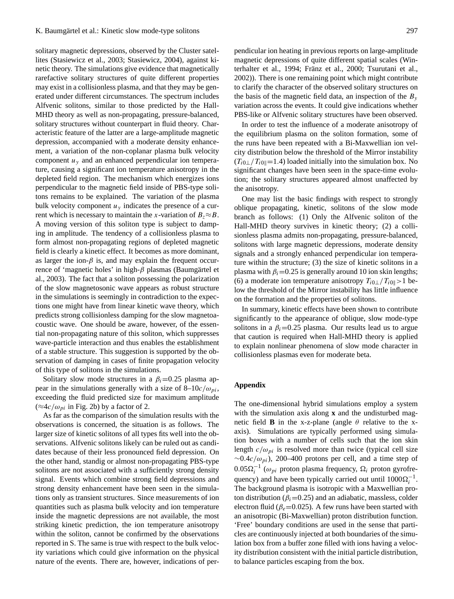solitary magnetic depressions, observed by the Cluster satellites [\(Stasiewicz et al.,](#page-7-0) [2003;](#page-7-0) [Stasiewicz,](#page-7-1) [2004\)](#page-7-1), against kinetic theory. The simulations give evidence that magnetically rarefactive solitary structures of quite different properties may exist in a collisionless plasma, and that they may be generated under different circumstances. The spectrum includes Alfvenic solitons, similar to those predicted by the Hall-MHD theory as well as non-propagating, pressure-balanced, solitary structures without counterpart in fluid theory. Characteristic feature of the latter are a large-amplitude magnetic depression, accompanied with a moderate density enhancement, a variation of the non-coplanar plasma bulk velocity component  $u<sub>y</sub>$  and an enhanced perpendicular ion temperature, causing a significant ion temperature anisotropy in the depleted field region. The mechanism which energizes ions perpendicular to the magnetic field inside of PBS-type solitons remains to be explained. The variation of the plasma bulk velocity component  $u<sub>y</sub>$  indicates the presence of a current which is necessary to maintain the x-variation of  $B_z \approx B$ . A moving version of this soliton type is subject to damping in amplitude. The tendency of a collisionless plasma to form almost non-propagating regions of depleted magnetic field is clearly a kinetic effect. It becomes as more dominant, as larger the ion- $\beta$  is, and may explain the frequent occurrence of 'magnetic holes' in high- $\beta$  plasmas (Baumgärtel et [al.,](#page-7-12) [2003\)](#page-7-12). The fact that a soliton possessing the polarization of the slow magnetosonic wave appears as robust structure in the simulations is seemingly in contradiction to the expections one might have from linear kinetic wave theory, which predicts strong collisionless damping for the slow magnetoacoustic wave. One should be aware, however, of the essential non-propagating nature of this soliton, which suppresses wave-particle interaction and thus enables the establishment of a stable structure. This suggestion is supported by the observation of damping in cases of finite propagation velocity of this type of solitons in the simulations.

Solitary slow mode structures in a  $\beta_i = 0.25$  plasma appear in the simulations generally with a size of  $8-10c/\omega_{pi}$ , exceeding the fluid predicted size for maximum amplitude  $(\approx 4c/\omega_{pi}$  in Fig. 2b) by a factor of 2.

As far as the comparison of the simulation results with the observations is concerned, the situation is as follows. The larger size of kinetic solitons of all types fits well into the observations. Alfvenic solitons likely can be ruled out as candidates because of their less pronounced field depression. On the other hand, standig or almost non-propagating PBS-type solitons are not associated with a sufficiently strong density signal. Events which combine strong field depressions and strong density enhancement have been seen in the simulations only as transient structures. Since measurements of ion quantities such as plasma bulk velocity and ion temperature inside the magnetic depressions are not available, the most striking kinetic prediction, the ion temperature anisotropy within the soliton, cannot be confirmed by the observations reported in S. The same is true with respect to the bulk velocity variations which could give information on the physical nature of the events. There are, however, indications of perpendicular ion heating in previous reports on large-amplitude magnetic depressions of quite different spatial scales [\(Win](#page-7-13)[terhalter et al.,](#page-7-13) [1994;](#page-7-13) Fränz et al., [2000;](#page-7-14) [Tsurutani et al.,](#page-7-15) [2002\)](#page-7-15)). There is one remaining point which might contribute to clarify the character of the observed solitary structures on the basis of the magnetic field data, an inspection of the  $B_y$ variation across the events. It could give indications whether PBS-like or Alfvenic solitary structures have been observed.

In order to test the influence of a moderate anisotropy of the equilibrium plasma on the soliton formation, some of the runs have been repeated with a Bi-Maxwellian ion velcity distribution below the threshold of the Mirror instability  $(T_{i0\perp}/T_{i0\parallel}=1.4)$  loaded initially into the simulation box. No significant changes have been seen in the space-time evolution; the solitary structures appeared almost unaffected by the anisotropy.

One may list the basic findings with respect to strongly oblique propagating, kinetic, solitons of the slow mode branch as follows: (1) Only the Alfvenic soliton of the Hall-MHD theory survives in kinetic theory; (2) a collisionless plasma admits non-propagating, pressure-balanced, solitons with large magnetic depressions, moderate density signals and a strongly enhanced perpendicular ion temperature within the structure; (3) the size of kinetic solitons in a plasma with  $\beta_i$ =0.25 is generally around 10 ion skin lengths; (6) a moderate ion temperature anisotropy  $T_{i0}$  |  $/T_{i0}$ ||>1 below the threshold of the Mirror instability has little influence on the formation and the properties of solitons.

In summary, kinetic effects have been shown to contribute significantly to the appearance of oblique, slow mode-type solitons in a  $\beta_i$ =0.25 plasma. Our results lead us to argue that caution is required when Hall-MHD theory is applied to explain nonlinear phenomena of slow mode character in collisionless plasmas even for moderate beta.

## **Appendix**

The one-dimensional hybrid simulations employ a system with the simulation axis along **x** and the undisturbed magnetic field **B** in the x-z-plane (angle  $\theta$  relative to the xaxis). Simulations are typically performed using simulation boxes with a number of cells such that the ion skin length  $c/\omega_{pi}$  is resolved more than twice (typical cell size  $\sim 0.4c/\omega_{pi}$ ), 200–400 protons per cell, and a time step of  $0.05\Omega_i^{-1}$  ( $\omega_{pi}$  proton plasma frequency,  $\Omega_i$  proton gyrofrequency) and have been typically carried out until  $1000\Omega_i^{-1}$ . The background plasma is isotropic with a Maxwellian proton distribution ( $\beta$ <sub>i</sub>=0.25) and an adiabatic, massless, colder electron fluid ( $\beta_e$ =0.025). A few runs have been started with an anisotropic (Bi-Maxwellian) proton distribution function. 'Free' boundary conditions are used in the sense that particles are continuously injected at both boundaries of the simulation box from a buffer zone filled with ions having a velocity distribution consistent with the initial particle distribution, to balance particles escaping from the box.